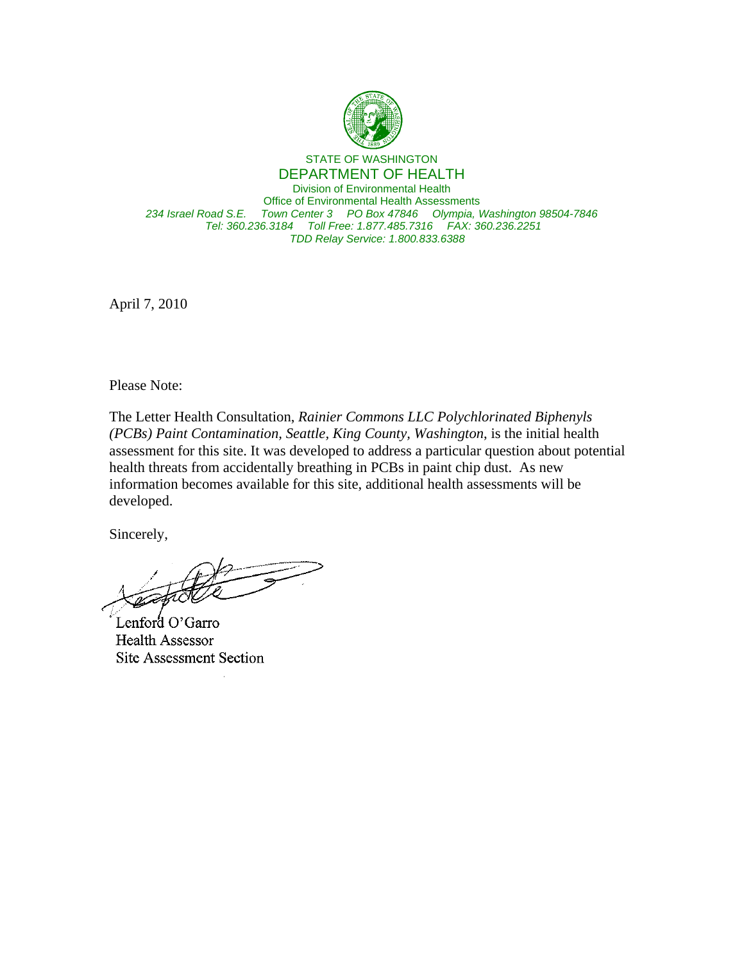

STATE OF WASHINGTON DEPARTMENT OF HEALTH Division of Environmental Health Office of Environmental Health Assessments *234 Israel Road S.E. Town Center 3 PO Box 47846 Olympia, Washington 98504-7846 Tel: 360.236.3184 Toll Free: 1.877.485.7316 FAX: 360.236.2251 TDD Relay Service: 1.800.833.6388*

April 7, 2010

Please Note:

The Letter Health Consultation, *Rainier Commons LLC Polychlorinated Biphenyls (PCBs) Paint Contamination, Seattle, King County, Washington*, is the initial health assessment for this site. It was developed to address a particular question about potential health threats from accidentally breathing in PCBs in paint chip dust. As new information becomes available for this site, additional health assessments will be developed.

Sincerely,

Lenford O'Garro Health Assessor Site Assessment Section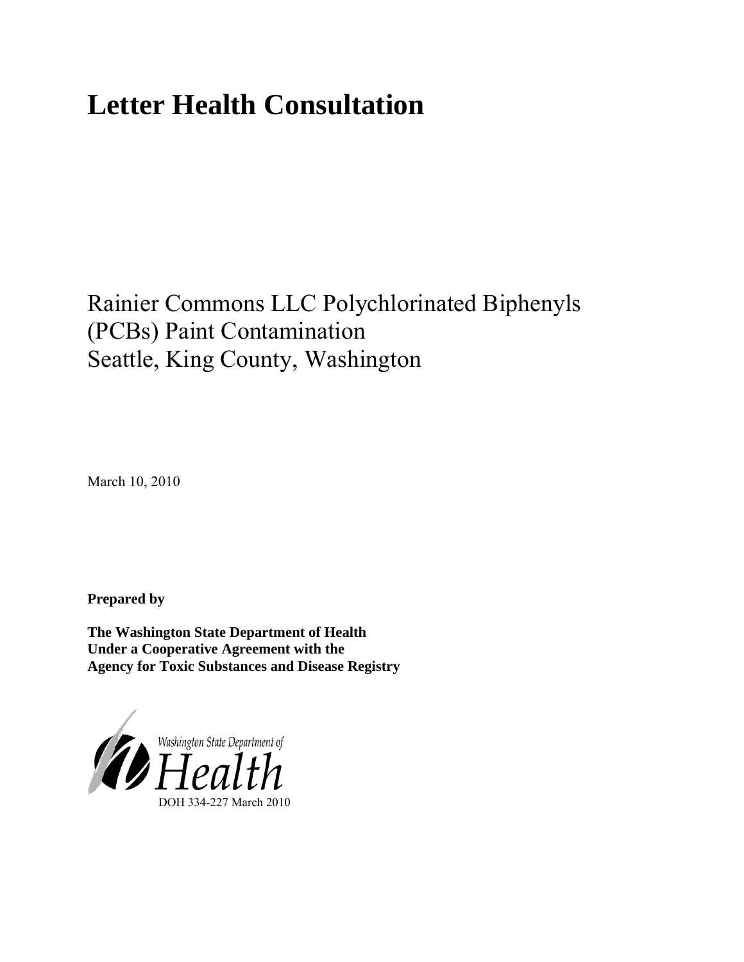# **Letter Health Consultation**

## Rainier Commons LLC Polychlorinated Biphenyls (PCBs) Paint Contamination Seattle, King County, Washington

March 10, 2010

**Prepared by** 

**The Washington State Department of Health Under a Cooperative Agreement with the Agency for Toxic Substances and Disease Registry**

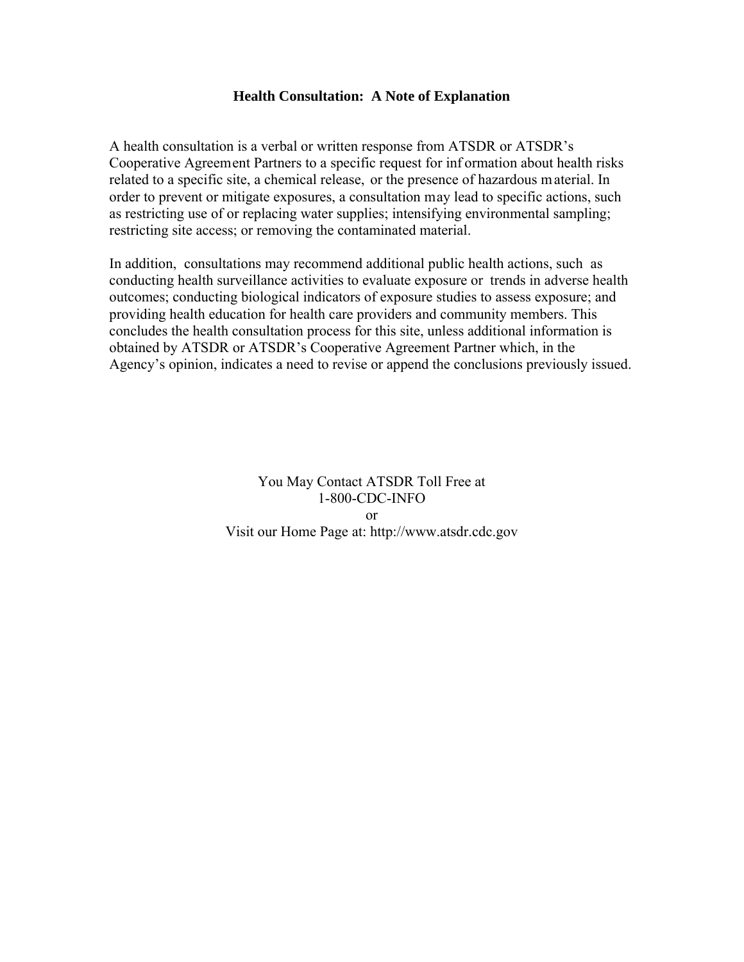#### **Health Consultation: A Note of Explanation**

A health consultation is a verbal or written response from ATSDR or ATSDR's Cooperative Agreement Partners to a specific request for inf ormation about health risks related to a specific site, a chemical release, or the presence of hazardous m aterial. In order to prevent or mitigate exposures, a consultation may lead to specific actions, such as restricting use of or replacing water supplies; intensifying environmental sampling; restricting site access; or removing the contaminated material.

In addition, consultations may recommend additional public health actions, such as conducting health surveillance activities to evaluate exposure or trends in adverse health outcomes; conducting biological indicators of exposure studies to assess exposure; and providing health education for health care providers and community members. This concludes the health consultation process for this site, unless additional information is obtained by ATSDR or ATSDR's Cooperative Agreement Partner which, in the Agency's opinion, indicates a need to revise or append the conclusions previously issued.

> You May Contact ATSDR Toll Free at 1-800-CDC-INFO or Visit our Home Page at: http://www.atsdr.cdc.gov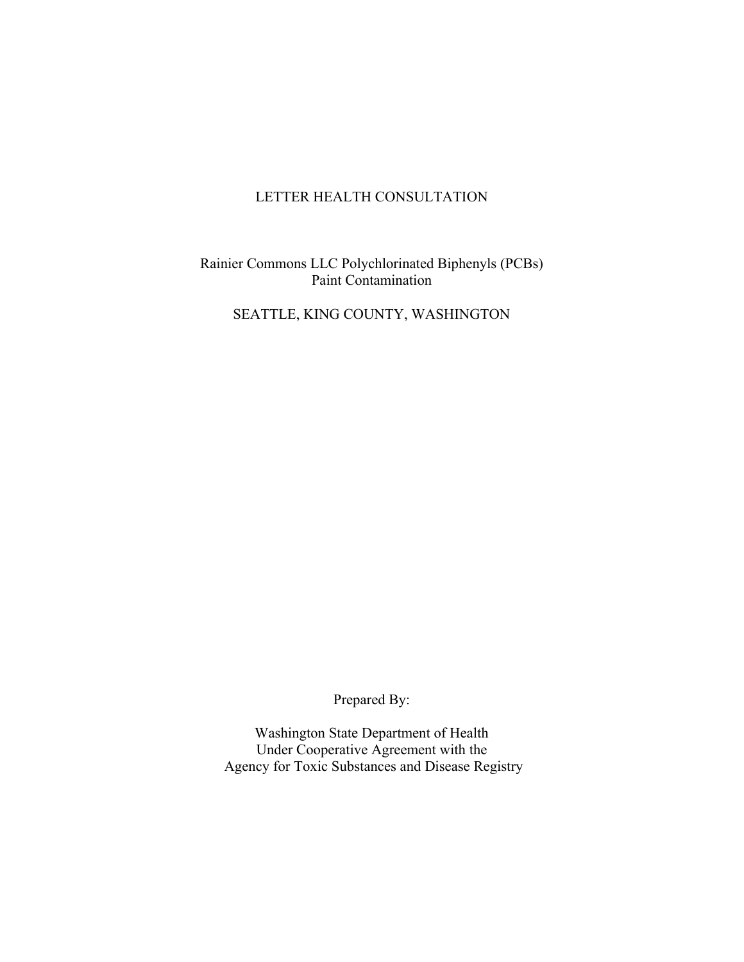#### LETTER HEALTH CONSULTATION

Rainier Commons LLC Polychlorinated Biphenyls (PCBs) Paint Contamination

SEATTLE, KING COUNTY, WASHINGTON

Prepared By:

Washington State Department of Health Under Cooperative Agreement with the Agency for Toxic Substances and Disease Registry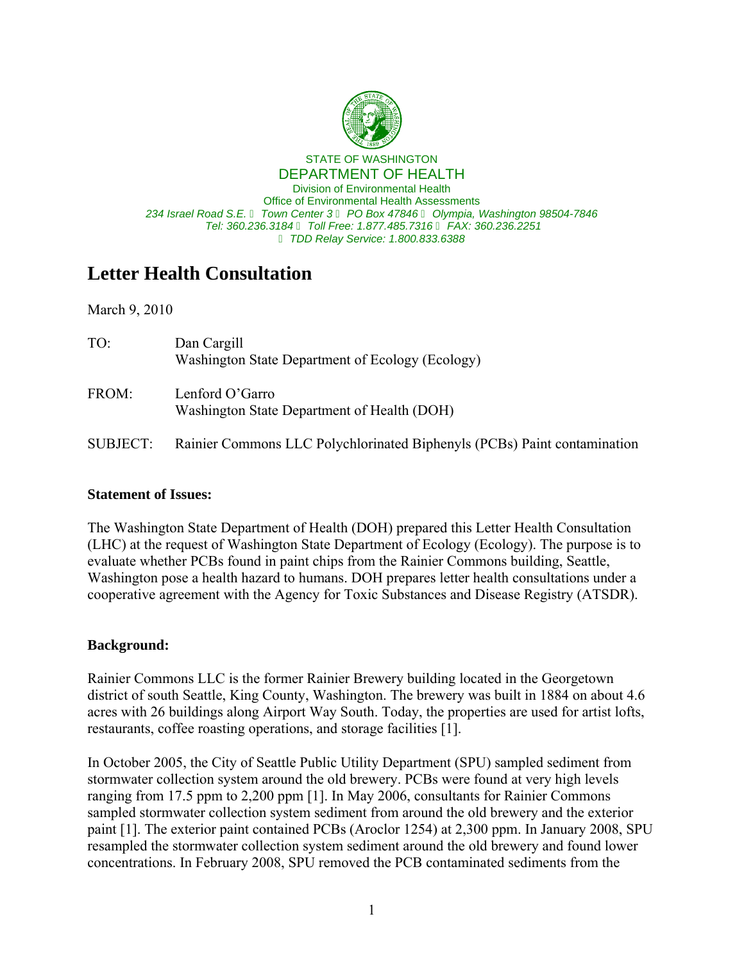

 *234 Israel Road S.E.* � *Town Center 3* � *PO Box 47846* � *Olympia, Washington 98504-7846 Tel: 360.236.3184* � *Toll Free: 1.877.485.7316* � *FAX: 360.236.2251* STATE OF WASHINGTON DEPARTMENT OF HEALTH Division of Environmental Health Office of Environmental Health Assessments  *TDD Relay Service: 1.800.833.6388*

### **Letter Health Consultation**

March 9, 2010

| TO:      | Dan Cargill<br>Washington State Department of Ecology (Ecology)          |
|----------|--------------------------------------------------------------------------|
| FROM:    | Lenford O'Garro<br>Washington State Department of Health (DOH)           |
| SUBJECT: | Rainier Commons LLC Polychlorinated Biphenyls (PCBs) Paint contamination |

#### **Statement of Issues:**

The Washington State Department of Health (DOH) prepared this Letter Health Consultation (LHC) at the request of Washington State Department of Ecology (Ecology). The purpose is to evaluate whether PCBs found in paint chips from the Rainier Commons building, Seattle, Washington pose a health hazard to humans. DOH prepares letter health consultations under a cooperative agreement with the Agency for Toxic Substances and Disease Registry (ATSDR).

#### **Background:**

Rainier Commons LLC is the former Rainier Brewery building located in the Georgetown district of south Seattle, King County, Washington. The brewery was built in 1884 on about 4.6 acres with 26 buildings along Airport Way South. Today, the properties are used for artist lofts, restaurants, coffee roasting operations, and storage facilities [1].

In October 2005, the City of Seattle Public Utility Department (SPU) sampled sediment from stormwater collection system around the old brewery. PCBs were found at very high levels ranging from 17.5 ppm to 2,200 ppm [1]. In May 2006, consultants for Rainier Commons sampled stormwater collection system sediment from around the old brewery and the exterior paint [1]. The exterior paint contained PCBs (Aroclor 1254) at 2,300 ppm. In January 2008, SPU resampled the stormwater collection system sediment around the old brewery and found lower concentrations. In February 2008, SPU removed the PCB contaminated sediments from the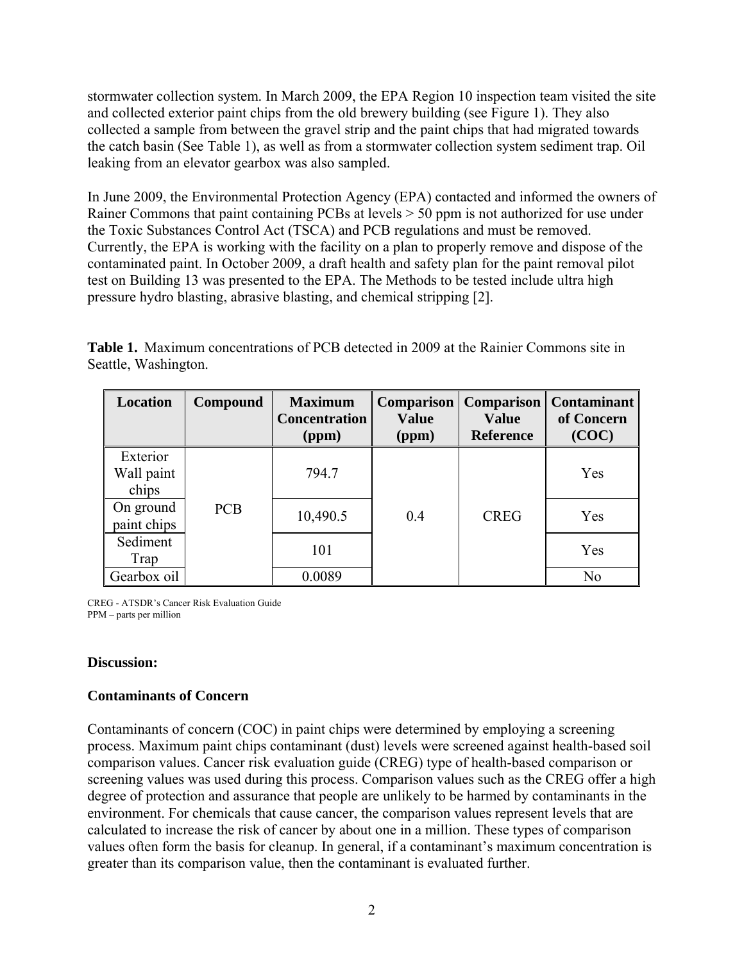stormwater collection system. In March 2009, the EPA Region 10 inspection team visited the site and collected exterior paint chips from the old brewery building (see Figure 1). They also collected a sample from between the gravel strip and the paint chips that had migrated towards the catch basin (See Table 1), as well as from a stormwater collection system sediment trap. Oil leaking from an elevator gearbox was also sampled.

In June 2009, the Environmental Protection Agency (EPA) contacted and informed the owners of Rainer Commons that paint containing PCBs at levels > 50 ppm is not authorized for use under the Toxic Substances Control Act (TSCA) and PCB regulations and must be removed. Currently, the EPA is working with the facility on a plan to properly remove and dispose of the contaminated paint. In October 2009, a draft health and safety plan for the paint removal pilot test on Building 13 was presented to the EPA. The Methods to be tested include ultra high pressure hydro blasting, abrasive blasting, and chemical stripping [2].

**Table 1.** Maximum concentrations of PCB detected in 2009 at the Rainier Commons site in Seattle, Washington.

| Location                        | Compound   | <b>Maximum</b><br><b>Concentration</b><br>(ppm) | <b>Comparison</b><br><b>Value</b><br>(ppm) | <b>Comparison</b><br><b>Value</b><br><b>Reference</b> | <b>Contaminant</b><br>of Concern<br>(COC) |
|---------------------------------|------------|-------------------------------------------------|--------------------------------------------|-------------------------------------------------------|-------------------------------------------|
| Exterior<br>Wall paint<br>chips |            | 794.7                                           |                                            |                                                       | Yes                                       |
| On ground<br>paint chips        | <b>PCB</b> | 10,490.5                                        | 0.4                                        | <b>CREG</b>                                           | Yes                                       |
| Sediment<br>Trap                |            | 101                                             |                                            |                                                       | Yes                                       |
| Gearbox oil                     |            | 0.0089                                          |                                            |                                                       | N <sub>0</sub>                            |

CREG - ATSDR's Cancer Risk Evaluation Guide PPM – parts per million

#### **Discussion:**

#### **Contaminants of Concern**

Contaminants of concern (COC) in paint chips were determined by employing a screening process. Maximum paint chips contaminant (dust) levels were screened against health-based soil comparison values. Cancer risk evaluation guide (CREG) type of health-based comparison or screening values was used during this process. Comparison values such as the CREG offer a high degree of protection and assurance that people are unlikely to be harmed by contaminants in the environment. For chemicals that cause cancer, the comparison values represent levels that are calculated to increase the risk of cancer by about one in a million. These types of comparison values often form the basis for cleanup. In general, if a contaminant's maximum concentration is greater than its comparison value, then the contaminant is evaluated further.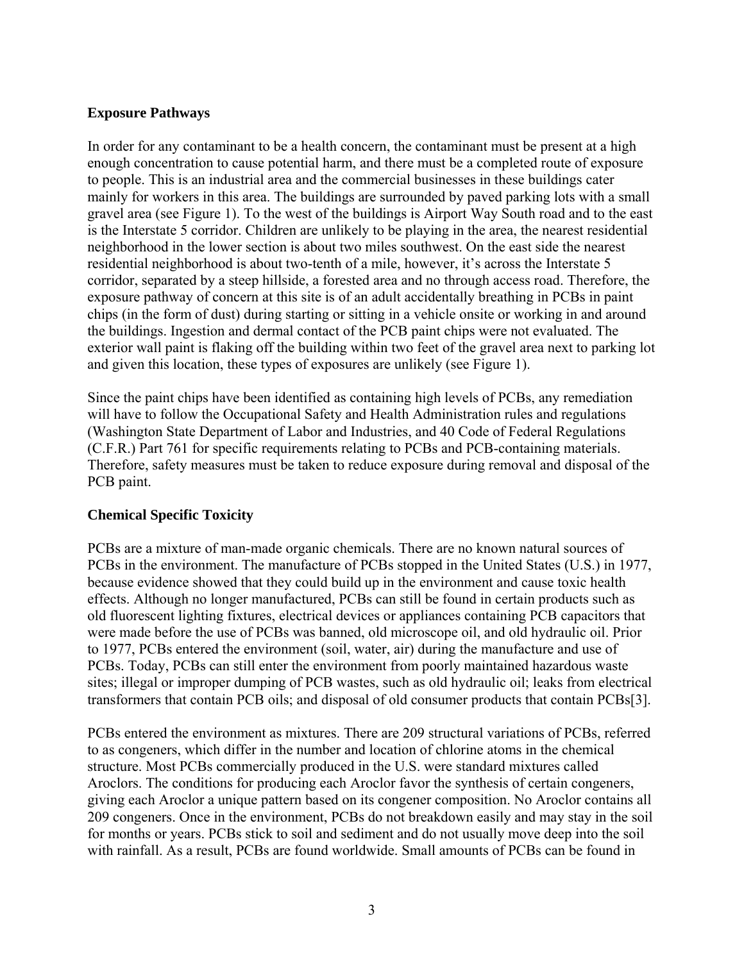#### **Exposure Pathways**

In order for any contaminant to be a health concern, the contaminant must be present at a high enough concentration to cause potential harm, and there must be a completed route of exposure to people. This is an industrial area and the commercial businesses in these buildings cater mainly for workers in this area. The buildings are surrounded by paved parking lots with a small gravel area (see Figure 1). To the west of the buildings is Airport Way South road and to the east is the Interstate 5 corridor. Children are unlikely to be playing in the area, the nearest residential neighborhood in the lower section is about two miles southwest. On the east side the nearest residential neighborhood is about two-tenth of a mile, however, it's across the Interstate 5 corridor, separated by a steep hillside, a forested area and no through access road. Therefore, the exposure pathway of concern at this site is of an adult accidentally breathing in PCBs in paint chips (in the form of dust) during starting or sitting in a vehicle onsite or working in and around the buildings. Ingestion and dermal contact of the PCB paint chips were not evaluated. The exterior wall paint is flaking off the building within two feet of the gravel area next to parking lot and given this location, these types of exposures are unlikely (see Figure 1).

Since the paint chips have been identified as containing high levels of PCBs, any remediation will have to follow the Occupational Safety and Health Administration rules and regulations (Washington State Department of Labor and Industries, and 40 Code of Federal Regulations (C.F.R.) Part 761 for specific requirements relating to PCBs and PCB-containing materials. Therefore, safety measures must be taken to reduce exposure during removal and disposal of the PCB paint.

#### **Chemical Specific Toxicity**

PCBs are a mixture of man-made organic chemicals. There are no known natural sources of PCBs in the environment. The manufacture of PCBs stopped in the United States (U.S.) in 1977, because evidence showed that they could build up in the environment and cause toxic health effects. Although no longer manufactured, PCBs can still be found in certain products such as old fluorescent lighting fixtures, electrical devices or appliances containing PCB capacitors that were made before the use of PCBs was banned, old microscope oil, and old hydraulic oil. Prior to 1977, PCBs entered the environment (soil, water, air) during the manufacture and use of PCBs. Today, PCBs can still enter the environment from poorly maintained hazardous waste sites; illegal or improper dumping of PCB wastes, such as old hydraulic oil; leaks from electrical transformers that contain PCB oils; and disposal of old consumer products that contain PCBs[3].

PCBs entered the environment as mixtures. There are 209 structural variations of PCBs, referred to as congeners, which differ in the number and location of chlorine atoms in the chemical structure. Most PCBs commercially produced in the U.S. were standard mixtures called Aroclors. The conditions for producing each Aroclor favor the synthesis of certain congeners, giving each Aroclor a unique pattern based on its congener composition. No Aroclor contains all 209 congeners. Once in the environment, PCBs do not breakdown easily and may stay in the soil for months or years. PCBs stick to soil and sediment and do not usually move deep into the soil with rainfall. As a result, PCBs are found worldwide. Small amounts of PCBs can be found in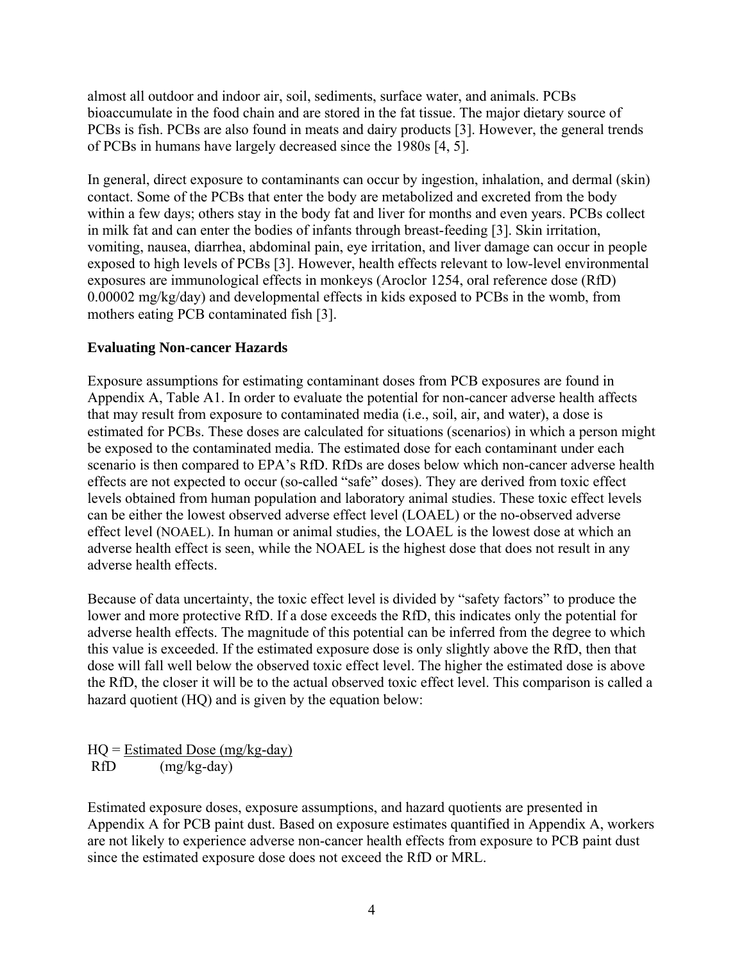almost all outdoor and indoor air, soil, sediments, surface water, and animals. PCBs bioaccumulate in the food chain and are stored in the fat tissue. The major dietary source of PCBs is fish. PCBs are also found in meats and dairy products [3]. However, the general trends of PCBs in humans have largely decreased since the 1980s [4, 5].

In general, direct exposure to contaminants can occur by ingestion, inhalation, and dermal (skin) contact. Some of the PCBs that enter the body are metabolized and excreted from the body within a few days; others stay in the body fat and liver for months and even years. PCBs collect in milk fat and can enter the bodies of infants through breast-feeding [3]. Skin irritation, vomiting, nausea, diarrhea, abdominal pain, eye irritation, and liver damage can occur in people exposed to high levels of PCBs [3]. However, health effects relevant to low-level environmental exposures are immunological effects in monkeys (Aroclor 1254, oral reference dose (RfD) 0.00002 mg/kg/day) and developmental effects in kids exposed to PCBs in the womb, from mothers eating PCB contaminated fish [3].

#### **Evaluating Non-cancer Hazards**

Exposure assumptions for estimating contaminant doses from PCB exposures are found in Appendix A, Table A1. In order to evaluate the potential for non-cancer adverse health affects that may result from exposure to contaminated media (i.e., soil, air, and water), a dose is estimated for PCBs. These doses are calculated for situations (scenarios) in which a person might be exposed to the contaminated media. The estimated dose for each contaminant under each scenario is then compared to EPA's RfD. RfDs are doses below which non-cancer adverse health effects are not expected to occur (so-called "safe" doses). They are derived from toxic effect levels obtained from human population and laboratory animal studies. These toxic effect levels can be either the lowest observed adverse effect level (LOAEL) or the no-observed adverse effect level (NOAEL). In human or animal studies, the LOAEL is the lowest dose at which an adverse health effect is seen, while the NOAEL is the highest dose that does not result in any adverse health effects.

Because of data uncertainty, the toxic effect level is divided by "safety factors" to produce the lower and more protective RfD. If a dose exceeds the RfD, this indicates only the potential for adverse health effects. The magnitude of this potential can be inferred from the degree to which this value is exceeded. If the estimated exposure dose is only slightly above the RfD, then that dose will fall well below the observed toxic effect level. The higher the estimated dose is above the RfD, the closer it will be to the actual observed toxic effect level. This comparison is called a hazard quotient (HQ) and is given by the equation below:

 $HO = Estimated Does (mg/kg-day)$ RfD (mg/kg-day)

Estimated exposure doses, exposure assumptions, and hazard quotients are presented in Appendix A for PCB paint dust. Based on exposure estimates quantified in Appendix A, workers are not likely to experience adverse non-cancer health effects from exposure to PCB paint dust since the estimated exposure dose does not exceed the RfD or MRL.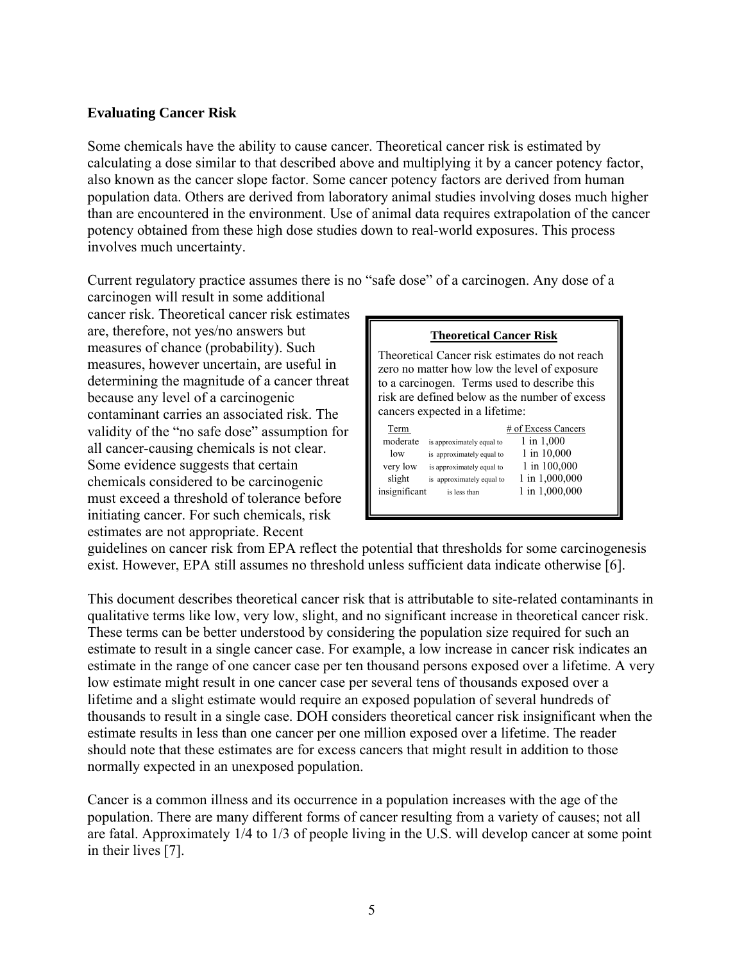#### **Evaluating Cancer Risk**

Some chemicals have the ability to cause cancer. Theoretical cancer risk is estimated by calculating a dose similar to that described above and multiplying it by a cancer potency factor, also known as the cancer slope factor. Some cancer potency factors are derived from human population data. Others are derived from laboratory animal studies involving doses much higher than are encountered in the environment. Use of animal data requires extrapolation of the cancer potency obtained from these high dose studies down to real-world exposures. This process involves much uncertainty.

Current regulatory practice assumes there is no "safe dose" of a carcinogen. Any dose of a

carcinogen will result in some additional cancer risk. Theoretical cancer risk estimates are, therefore, not yes/no answers but measures of chance (probability). Such measures of chance (probability). Such Theoretical Cancer risk estimates do not reach measures, however uncertain, are useful in zero no matter how low the level of exposure determining the magnitude of a cancer threat to a carcinogen. Terms used to describe this because any level of a carcinogenic risk are defined below as the number of excess because any level of a carcinogenic risk are defined below as the number of excess expected in a lifetime: contaminant carries an associated risk. The validity of the "no safe dose" assumption for all cancer-causing chemicals is not clear. Some evidence suggests that certain slight is approximately equal to the carcinogenic must exceed a threshold of tolerance before initiating cancer. For such chemicals, risk estimates are not appropriate. Recent

|  | Theoretical Cancer Risk |  |
|--|-------------------------|--|
|  |                         |  |

| 1 in 1,000     |
|----------------|
|                |
| 1 in 10,000    |
| 1 in 100,000   |
| 1 in 1,000,000 |
| 1 in 1,000,000 |
|                |

guidelines on cancer risk from EPA reflect the potential that thresholds for some carcinogenesis exist. However, EPA still assumes no threshold unless sufficient data indicate otherwise [6].

This document describes theoretical cancer risk that is attributable to site-related contaminants in qualitative terms like low, very low, slight, and no significant increase in theoretical cancer risk. These terms can be better understood by considering the population size required for such an estimate to result in a single cancer case. For example, a low increase in cancer risk indicates an estimate in the range of one cancer case per ten thousand persons exposed over a lifetime. A very low estimate might result in one cancer case per several tens of thousands exposed over a lifetime and a slight estimate would require an exposed population of several hundreds of thousands to result in a single case. DOH considers theoretical cancer risk insignificant when the estimate results in less than one cancer per one million exposed over a lifetime. The reader should note that these estimates are for excess cancers that might result in addition to those normally expected in an unexposed population.

Cancer is a common illness and its occurrence in a population increases with the age of the population. There are many different forms of cancer resulting from a variety of causes; not all are fatal. Approximately 1/4 to 1/3 of people living in the U.S. will develop cancer at some point in their lives [7].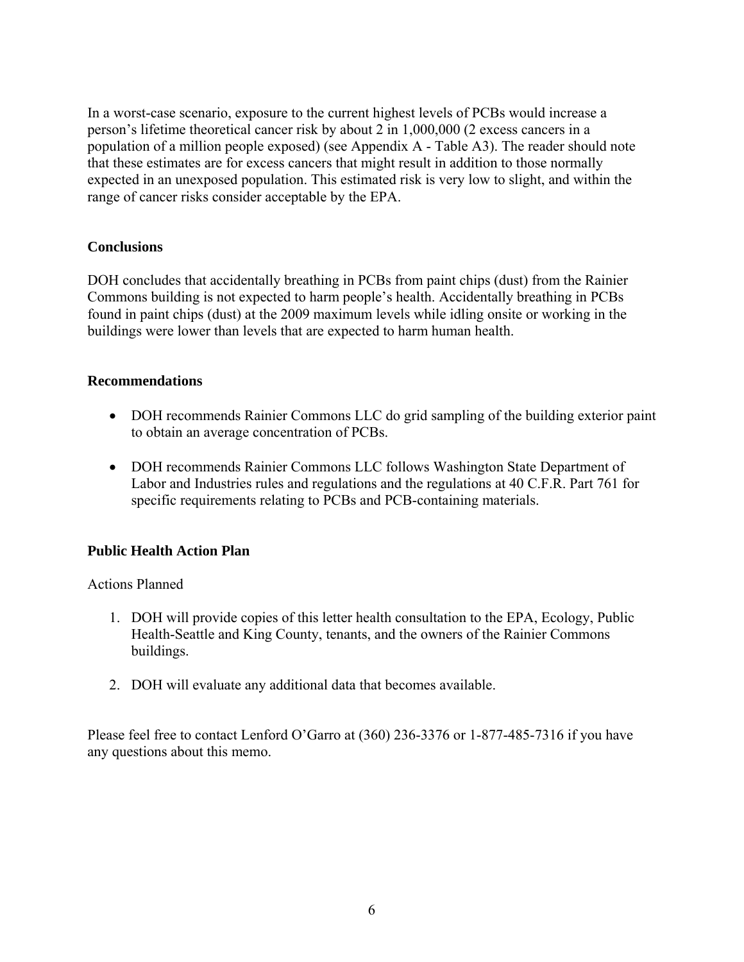In a worst-case scenario, exposure to the current highest levels of PCBs would increase a person's lifetime theoretical cancer risk by about 2 in 1,000,000 (2 excess cancers in a population of a million people exposed) (see Appendix A - Table A3). The reader should note that these estimates are for excess cancers that might result in addition to those normally expected in an unexposed population. This estimated risk is very low to slight, and within the range of cancer risks consider acceptable by the EPA.

#### **Conclusions**

DOH concludes that accidentally breathing in PCBs from paint chips (dust) from the Rainier Commons building is not expected to harm people's health. Accidentally breathing in PCBs found in paint chips (dust) at the 2009 maximum levels while idling onsite or working in the buildings were lower than levels that are expected to harm human health.

#### **Recommendations**

- DOH recommends Rainier Commons LLC do grid sampling of the building exterior paint to obtain an average concentration of PCBs.
- DOH recommends Rainier Commons LLC follows Washington State Department of Labor and Industries rules and regulations and the regulations at 40 C.F.R. Part 761 for specific requirements relating to PCBs and PCB-containing materials.

#### **Public Health Action Plan**

Actions Planned

- 1. DOH will provide copies of this letter health consultation to the EPA, Ecology, Public Health-Seattle and King County, tenants, and the owners of the Rainier Commons buildings.
- 2. DOH will evaluate any additional data that becomes available.

Please feel free to contact Lenford O'Garro at (360) 236-3376 or 1-877-485-7316 if you have any questions about this memo.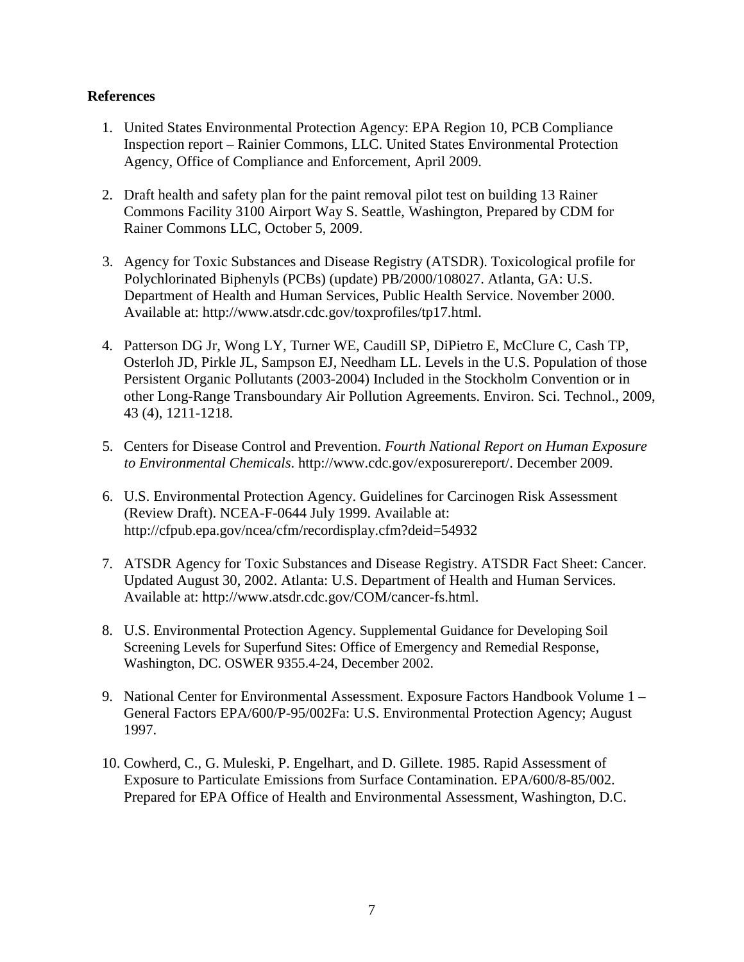#### **References**

- 1. United States Environmental Protection Agency: EPA Region 10, PCB Compliance Inspection report – Rainier Commons, LLC. United States Environmental Protection Agency, Office of Compliance and Enforcement, April 2009.
- 2. Draft health and safety plan for the paint removal pilot test on building 13 Rainer Commons Facility 3100 Airport Way S. Seattle, Washington, Prepared by CDM for Rainer Commons LLC, October 5, 2009.
- 3. Agency for Toxic Substances and Disease Registry (ATSDR). Toxicological profile for Polychlorinated Biphenyls (PCBs) (update) PB/2000/108027. Atlanta, GA: U.S. Department of Health and Human Services, Public Health Service. November 2000. Available at: http://www.atsdr.cdc.gov/toxprofiles/tp17.html.
- 4. Patterson DG Jr, Wong LY, Turner WE, Caudill SP, DiPietro E, McClure C, Cash TP, Osterloh JD, Pirkle JL, Sampson EJ, Needham LL. Levels in the U.S. Population of those Persistent Organic Pollutants (2003-2004) Included in the Stockholm Convention or in other Long-Range Transboundary Air Pollution Agreements. Environ. Sci. Technol., 2009, 43 (4), 1211-1218.
- 5. Centers for Disease Control and Prevention. *Fourth National Report on Human Exposure to Environmental Chemicals*. http://www.cdc.gov/exposurereport/. December 2009.
- 6. U.S. Environmental Protection Agency. Guidelines for Carcinogen Risk Assessment (Review Draft). NCEA-F-0644 July 1999. Available at: http://cfpub.epa.gov/ncea/cfm/recordisplay.cfm?deid=54932
- 7. ATSDR Agency for Toxic Substances and Disease Registry. ATSDR Fact Sheet: Cancer. Updated August 30, 2002. Atlanta: U.S. Department of Health and Human Services. Available at: [http://www.atsdr.cdc.gov/COM/cancer-fs.html.](http://www.atsdr.cdc.gov/COM/cancer-fs.html)
- 8. U.S. Environmental Protection Agency. Supplemental Guidance for Developing Soil Screening Levels for Superfund Sites: Office of Emergency and Remedial Response, Washington, DC. OSWER 9355.4-24, December 2002.
- 9. National Center for Environmental Assessment. Exposure Factors Handbook Volume 1 General Factors EPA/600/P-95/002Fa: U.S. Environmental Protection Agency; August 1997.
- 10. Cowherd, C., G. Muleski, P. Engelhart, and D. Gillete. 1985. Rapid Assessment of Exposure to Particulate Emissions from Surface Contamination. EPA/600/8-85/002. Prepared for EPA Office of Health and Environmental Assessment, Washington, D.C.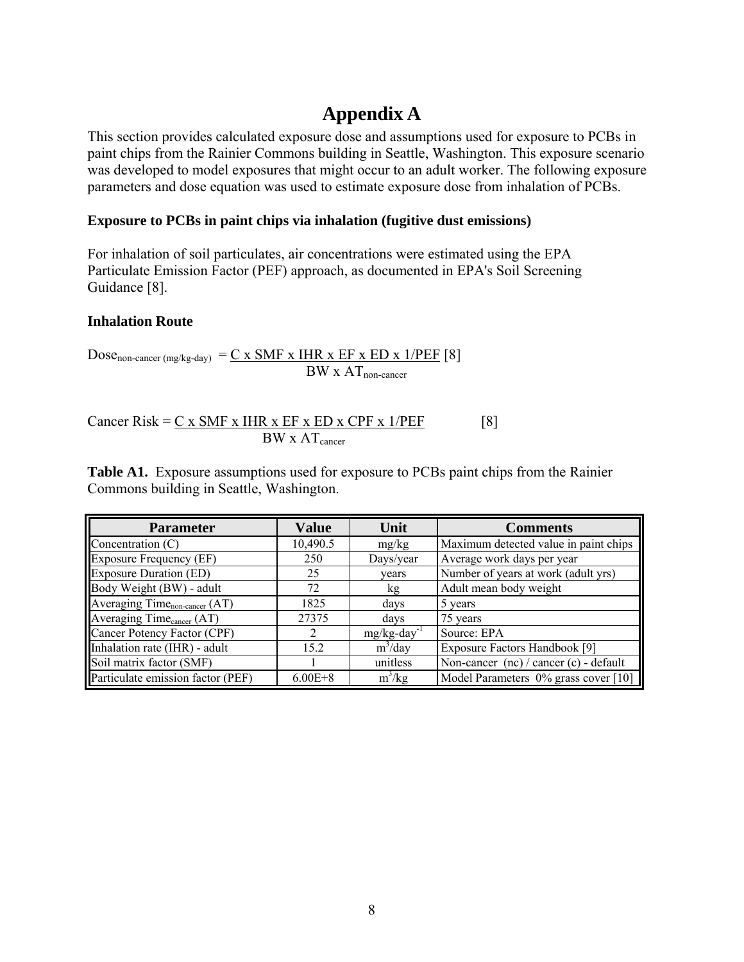## **Appendix A**

This section provides calculated exposure dose and assumptions used for exposure to PCBs in paint chips from the Rainier Commons building in Seattle, Washington. This exposure scenario was developed to model exposures that might occur to an adult worker. The following exposure parameters and dose equation was used to estimate exposure dose from inhalation of PCBs.

#### **Exposure to PCBs in paint chips via inhalation (fugitive dust emissions)**

For inhalation of soil particulates, air concentrations were estimated using the EPA Particulate Emission Factor (PEF) approach, as documented in EPA's Soil Screening Guidance [8].

#### **Inhalation Route**

Dose<sub>non-cancer (mg/kg-day)</sub> =  $C \times SMF \times HIR \times EF \times ED \times 1/PEF$  [8]  $BW \times AT_{non-cancer}$ 

$$
Cancer Risk = \underbrace{C \times SMF \times IHR \times EF \times ED \times CPF \times 1/PEF}_{BW \times AT_{cancer}} \qquad [8]
$$

**Table A1.** Exposure assumptions used for exposure to PCBs paint chips from the Rainier Commons building in Seattle, Washington.

| <b>Parameter</b>                          | <b>Value</b> | Unit                       | <b>Comments</b>                            |
|-------------------------------------------|--------------|----------------------------|--------------------------------------------|
| Concentration $(C)$                       | 10,490.5     | mg/kg                      | Maximum detected value in paint chips      |
| <b>Exposure Frequency (EF)</b>            | 250          | Days/year                  | Average work days per year                 |
| <b>Exposure Duration (ED)</b>             | 25           | vears                      | Number of years at work (adult yrs)        |
| Body Weight (BW) - adult                  | 72           | kg                         | Adult mean body weight                     |
| Averaging Time <sub>non-cancer</sub> (AT) | 1825         | days                       | 5 years                                    |
| Averaging Time <sub>cancer</sub> (AT)     | 27375        | days                       | 75 years                                   |
| Cancer Potency Factor (CPF)               | 2            | $mg/kg$ -day <sup>-1</sup> | Source: EPA                                |
| Inhalation rate (IHR) - adult             | 15.2         | $m^3$ /day                 | Exposure Factors Handbook [9]              |
| Soil matrix factor (SMF)                  |              | unitless                   | Non-cancer $(nc)$ / cancer $(c)$ - default |
| Particulate emission factor (PEF)         | $6.00E + 8$  | $m^3/kg$                   | Model Parameters 0% grass cover [10]       |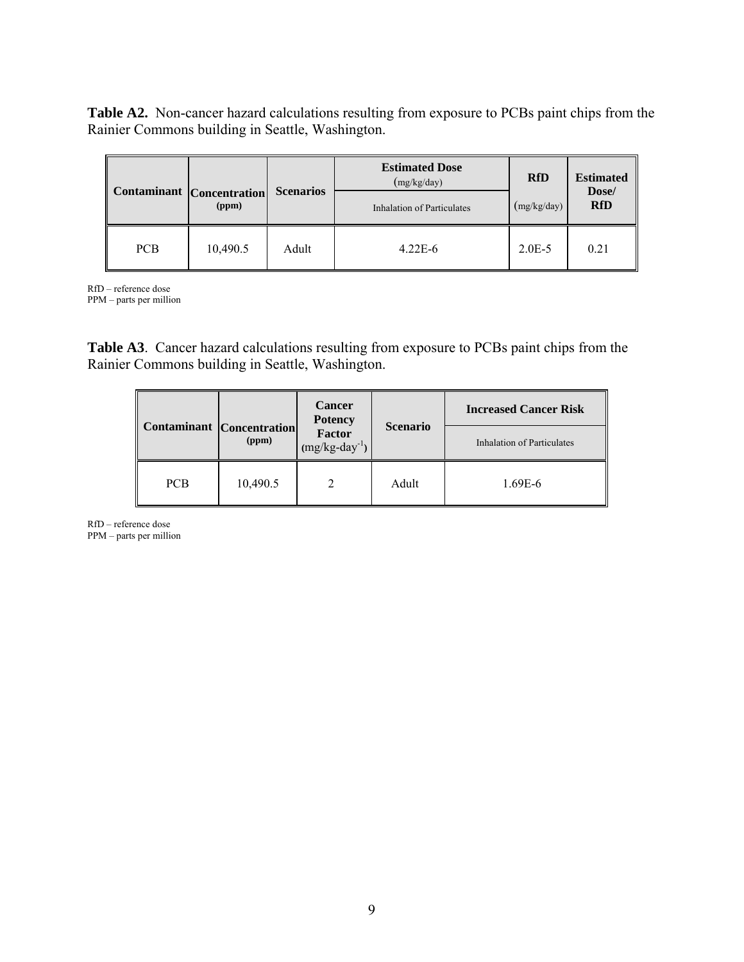**Table A2.** Non-cancer hazard calculations resulting from exposure to PCBs paint chips from the Rainier Commons building in Seattle, Washington.

|            |                                           | <b>Scenarios</b> | <b>Estimated Dose</b><br>(mg/kg/day) | <b>RfD</b>  | <b>Estimated</b><br>Dose/ |  |
|------------|-------------------------------------------|------------------|--------------------------------------|-------------|---------------------------|--|
|            | <b>Contaminant</b> Concentration<br>(ppm) |                  | Inhalation of Particulates           | (mg/kg/day) | <b>RfD</b>                |  |
| <b>PCB</b> | 10,490.5                                  | Adult            | $4.22E - 6$                          | $2.0E - 5$  | 0.21                      |  |

RfD – reference dose PPM – parts per million

**Table A3**. Cancer hazard calculations resulting from exposure to PCBs paint chips from the Rainier Commons building in Seattle, Washington.

|                                  |          | <b>Cancer</b><br><b>Potency</b><br><b>Factor</b><br>$(mg/kg-day^{-1})$ | <b>Scenario</b> | <b>Increased Cancer Risk</b>      |
|----------------------------------|----------|------------------------------------------------------------------------|-----------------|-----------------------------------|
| <b>Contaminant</b> Concentration | (ppm)    |                                                                        |                 | <b>Inhalation of Particulates</b> |
| <b>PCB</b>                       | 10,490.5 |                                                                        | Adult           | 1.69E-6                           |

RfD – reference dose

PPM – parts per million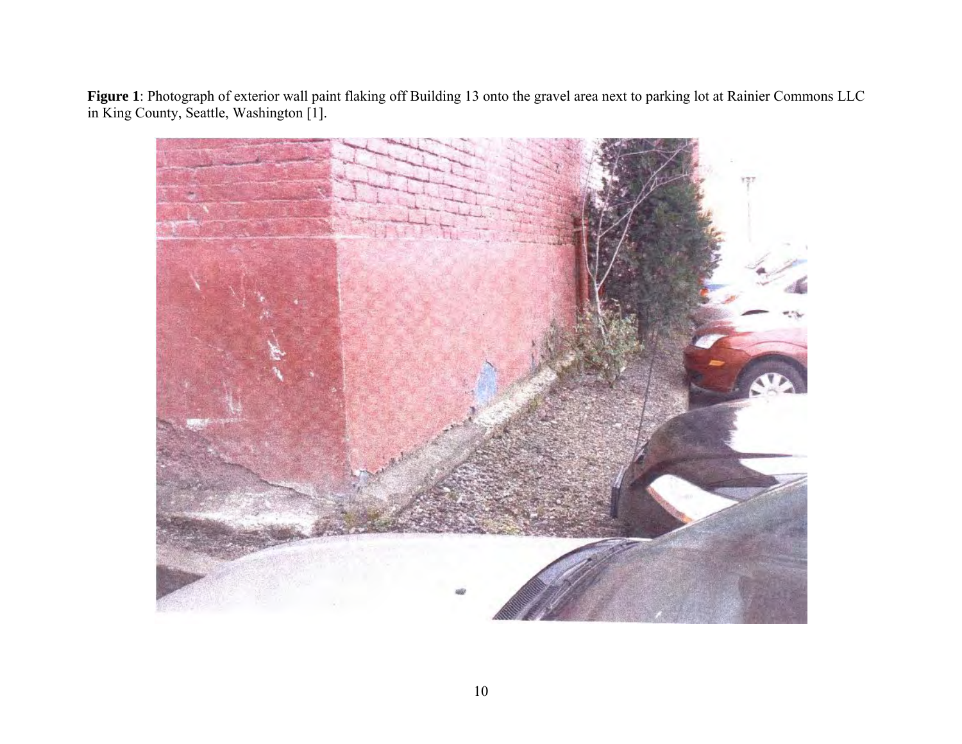**Figure 1**: Photograph of exterior wall paint flaking off Building 13 onto the gravel area next to parking lot at Rainier Commons LLC in King County, Seattle, Washington [1].